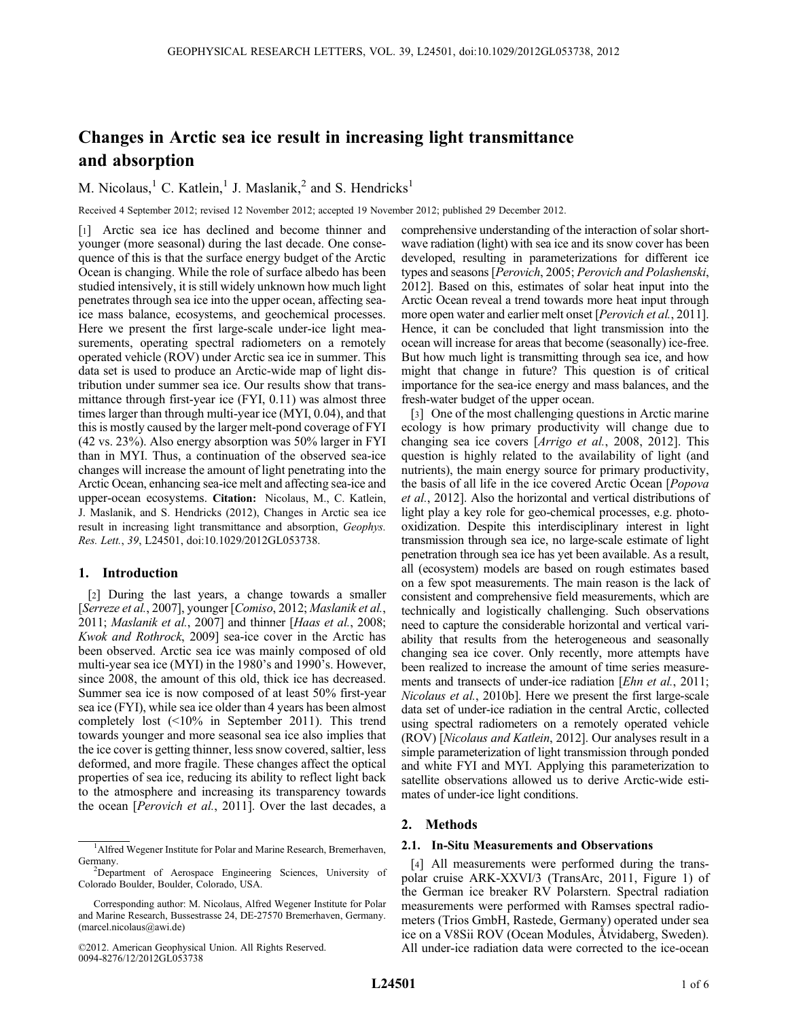# Changes in Arctic sea ice result in increasing light transmittance and absorption

M. Nicolaus,<sup>1</sup> C. Katlein,<sup>1</sup> J. Maslanik,<sup>2</sup> and S. Hendricks<sup>1</sup>

Received 4 September 2012; revised 12 November 2012; accepted 19 November 2012; published 29 December 2012.

[1] Arctic sea ice has declined and become thinner and younger (more seasonal) during the last decade. One consequence of this is that the surface energy budget of the Arctic Ocean is changing. While the role of surface albedo has been studied intensively, it is still widely unknown how much light penetrates through sea ice into the upper ocean, affecting seaice mass balance, ecosystems, and geochemical processes. Here we present the first large-scale under-ice light measurements, operating spectral radiometers on a remotely operated vehicle (ROV) under Arctic sea ice in summer. This data set is used to produce an Arctic-wide map of light distribution under summer sea ice. Our results show that transmittance through first-year ice (FYI, 0.11) was almost three times larger than through multi-year ice (MYI, 0.04), and that this is mostly caused by the larger melt-pond coverage of FYI (42 vs. 23%). Also energy absorption was 50% larger in FYI than in MYI. Thus, a continuation of the observed sea-ice changes will increase the amount of light penetrating into the Arctic Ocean, enhancing sea-ice melt and affecting sea-ice and upper-ocean ecosystems. Citation: Nicolaus, M., C. Katlein, J. Maslanik, and S. Hendricks (2012), Changes in Arctic sea ice result in increasing light transmittance and absorption, Geophys. Res. Lett., 39, L24501, doi:10.1029/2012GL053738.

# 1. Introduction

[2] During the last years, a change towards a smaller [Serreze et al., 2007], younger [Comiso, 2012; Maslanik et al., 2011; Maslanik et al., 2007] and thinner [Haas et al., 2008; Kwok and Rothrock, 2009] sea-ice cover in the Arctic has been observed. Arctic sea ice was mainly composed of old multi-year sea ice (MYI) in the 1980's and 1990's. However, since 2008, the amount of this old, thick ice has decreased. Summer sea ice is now composed of at least 50% first-year sea ice (FYI), while sea ice older than 4 years has been almost completely lost (<10% in September 2011). This trend towards younger and more seasonal sea ice also implies that the ice cover is getting thinner, less snow covered, saltier, less deformed, and more fragile. These changes affect the optical properties of sea ice, reducing its ability to reflect light back to the atmosphere and increasing its transparency towards the ocean [Perovich et al., 2011]. Over the last decades, a

comprehensive understanding of the interaction of solar shortwave radiation (light) with sea ice and its snow cover has been developed, resulting in parameterizations for different ice types and seasons [Perovich, 2005; Perovich and Polashenski, 2012]. Based on this, estimates of solar heat input into the Arctic Ocean reveal a trend towards more heat input through more open water and earlier melt onset [*Perovich et al.*, 2011]. Hence, it can be concluded that light transmission into the ocean will increase for areas that become (seasonally) ice-free. But how much light is transmitting through sea ice, and how might that change in future? This question is of critical importance for the sea-ice energy and mass balances, and the fresh-water budget of the upper ocean.

[3] One of the most challenging questions in Arctic marine ecology is how primary productivity will change due to changing sea ice covers [Arrigo et al., 2008, 2012]. This question is highly related to the availability of light (and nutrients), the main energy source for primary productivity, the basis of all life in the ice covered Arctic Ocean [Popova et al., 2012]. Also the horizontal and vertical distributions of light play a key role for geo-chemical processes, e.g. photooxidization. Despite this interdisciplinary interest in light transmission through sea ice, no large-scale estimate of light penetration through sea ice has yet been available. As a result, all (ecosystem) models are based on rough estimates based on a few spot measurements. The main reason is the lack of consistent and comprehensive field measurements, which are technically and logistically challenging. Such observations need to capture the considerable horizontal and vertical variability that results from the heterogeneous and seasonally changing sea ice cover. Only recently, more attempts have been realized to increase the amount of time series measurements and transects of under-ice radiation [*Ehn et al.*, 2011; Nicolaus et al., 2010b]. Here we present the first large-scale data set of under-ice radiation in the central Arctic, collected using spectral radiometers on a remotely operated vehicle (ROV) [Nicolaus and Katlein, 2012]. Our analyses result in a simple parameterization of light transmission through ponded and white FYI and MYI. Applying this parameterization to satellite observations allowed us to derive Arctic-wide estimates of under-ice light conditions.

## 2. Methods

#### 2.1. In-Situ Measurements and Observations

[4] All measurements were performed during the transpolar cruise ARK-XXVI/3 (TransArc, 2011, Figure 1) of the German ice breaker RV Polarstern. Spectral radiation measurements were performed with Ramses spectral radiometers (Trios GmbH, Rastede, Germany) operated under sea ice on a V8Sii ROV (Ocean Modules, Åtvidaberg, Sweden). All under-ice radiation data were corrected to the ice-ocean

<sup>&</sup>lt;sup>1</sup>Alfred Wegener Institute for Polar and Marine Research, Bremerhaven, Germany.

<sup>&</sup>lt;sup>2</sup>Department of Aerospace Engineering Sciences, University of Colorado Boulder, Boulder, Colorado, USA.

Corresponding author: M. Nicolaus, Alfred Wegener Institute for Polar and Marine Research, Bussestrasse 24, DE-27570 Bremerhaven, Germany. (marcel.nicolaus@awi.de)

<sup>©2012.</sup> American Geophysical Union. All Rights Reserved. 0094-8276/12/2012GL053738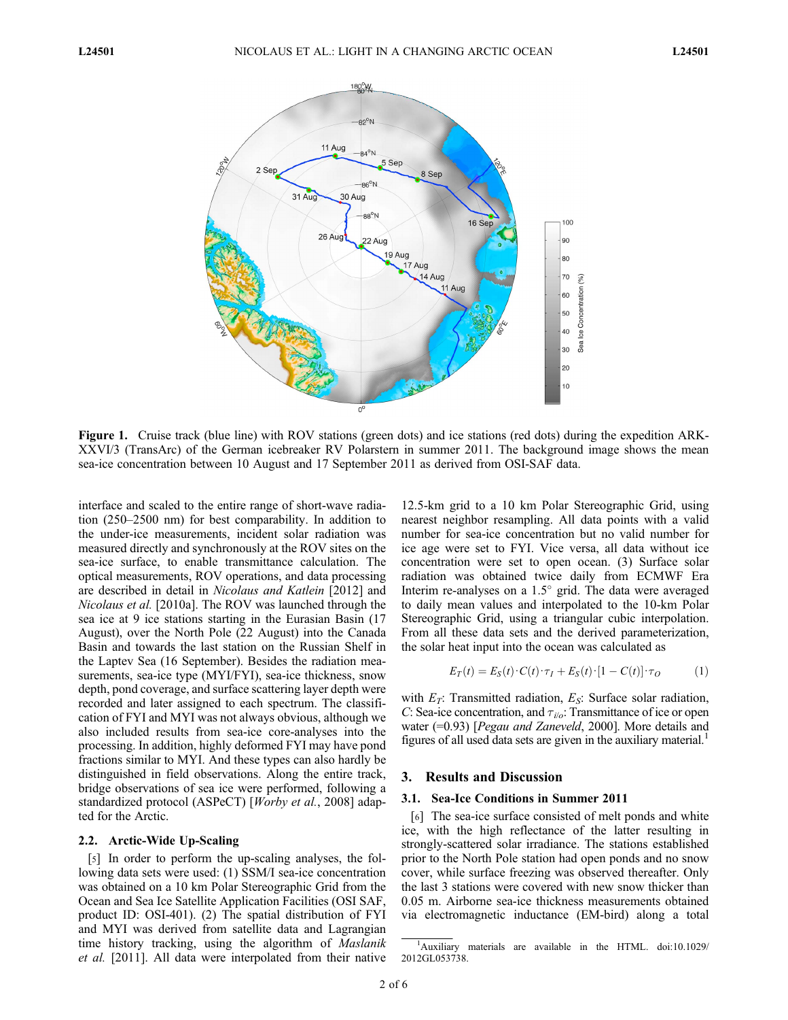

Figure 1. Cruise track (blue line) with ROV stations (green dots) and ice stations (red dots) during the expedition ARK-XXVI/3 (TransArc) of the German icebreaker RV Polarstern in summer 2011. The background image shows the mean sea-ice concentration between 10 August and 17 September 2011 as derived from OSI-SAF data.

interface and scaled to the entire range of short-wave radiation (250–2500 nm) for best comparability. In addition to the under-ice measurements, incident solar radiation was measured directly and synchronously at the ROV sites on the sea-ice surface, to enable transmittance calculation. The optical measurements, ROV operations, and data processing are described in detail in Nicolaus and Katlein [2012] and Nicolaus et al. [2010a]. The ROV was launched through the sea ice at 9 ice stations starting in the Eurasian Basin (17 August), over the North Pole (22 August) into the Canada Basin and towards the last station on the Russian Shelf in the Laptev Sea (16 September). Besides the radiation measurements, sea-ice type (MYI/FYI), sea-ice thickness, snow depth, pond coverage, and surface scattering layer depth were recorded and later assigned to each spectrum. The classification of FYI and MYI was not always obvious, although we also included results from sea-ice core-analyses into the processing. In addition, highly deformed FYI may have pond fractions similar to MYI. And these types can also hardly be distinguished in field observations. Along the entire track, bridge observations of sea ice were performed, following a standardized protocol (ASPeCT) [Worby et al., 2008] adapted for the Arctic.

# 2.2. Arctic-Wide Up-Scaling

[5] In order to perform the up-scaling analyses, the following data sets were used: (1) SSM/I sea-ice concentration was obtained on a 10 km Polar Stereographic Grid from the Ocean and Sea Ice Satellite Application Facilities (OSI SAF, product ID: OSI-401). (2) The spatial distribution of FYI and MYI was derived from satellite data and Lagrangian time history tracking, using the algorithm of *Maslanik* et al. [2011]. All data were interpolated from their native

12.5-km grid to a 10 km Polar Stereographic Grid, using nearest neighbor resampling. All data points with a valid number for sea-ice concentration but no valid number for ice age were set to FYI. Vice versa, all data without ice concentration were set to open ocean. (3) Surface solar radiation was obtained twice daily from ECMWF Era Interim re-analyses on a  $1.5^{\circ}$  grid. The data were averaged to daily mean values and interpolated to the 10-km Polar Stereographic Grid, using a triangular cubic interpolation. From all these data sets and the derived parameterization, the solar heat input into the ocean was calculated as

$$
E_T(t) = E_S(t) \cdot C(t) \cdot \tau_I + E_S(t) \cdot [1 - C(t)] \cdot \tau_O \tag{1}
$$

with  $E_T$ : Transmitted radiation,  $E_S$ : Surface solar radiation, C: Sea-ice concentration, and  $\tau_{ijo}$ : Transmittance of ice or open water (=0.93) [*Pegau and Zaneveld*, 2000]. More details and figures of all used data sets are given in the auxiliary material.<sup>1</sup>

#### 3. Results and Discussion

#### 3.1. Sea-Ice Conditions in Summer 2011

[6] The sea-ice surface consisted of melt ponds and white ice, with the high reflectance of the latter resulting in strongly-scattered solar irradiance. The stations established prior to the North Pole station had open ponds and no snow cover, while surface freezing was observed thereafter. Only the last 3 stations were covered with new snow thicker than 0.05 m. Airborne sea-ice thickness measurements obtained via electromagnetic inductance (EM-bird) along a total

<sup>&</sup>lt;sup>1</sup>Auxiliary materials are available in the HTML. doi:10.1029/ 2012GL053738.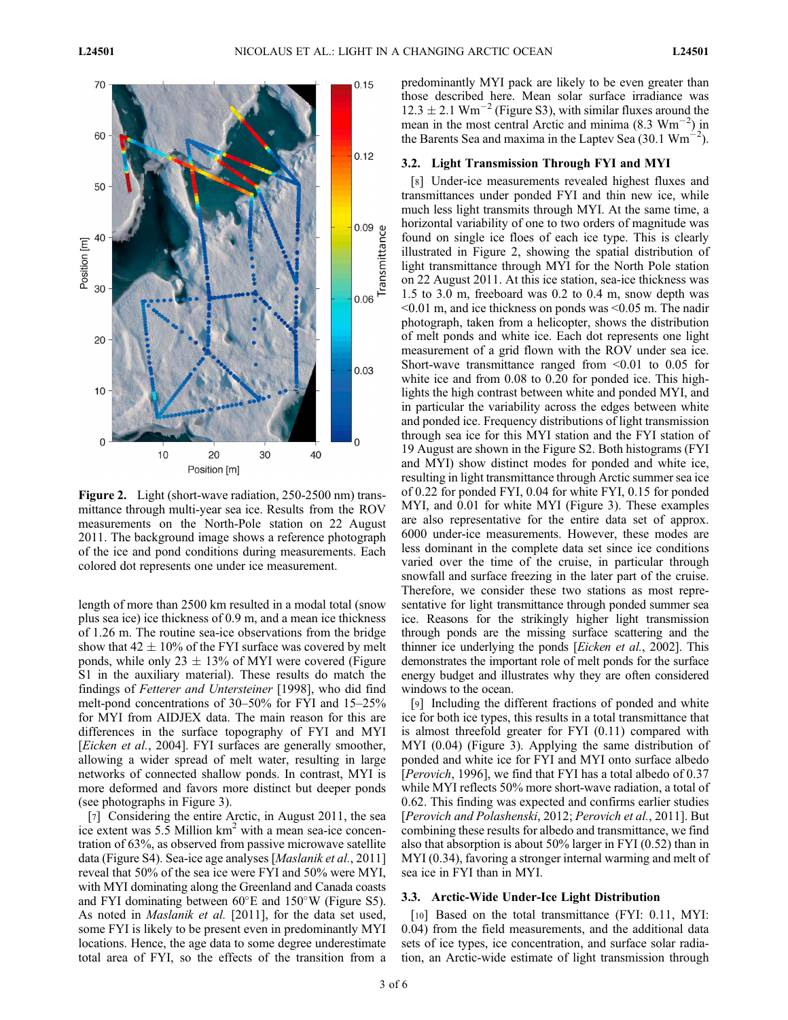

Figure 2. Light (short-wave radiation, 250-2500 nm) transmittance through multi-year sea ice. Results from the ROV measurements on the North-Pole station on 22 August 2011. The background image shows a reference photograph of the ice and pond conditions during measurements. Each colored dot represents one under ice measurement.

length of more than 2500 km resulted in a modal total (snow plus sea ice) ice thickness of 0.9 m, and a mean ice thickness of 1.26 m. The routine sea-ice observations from the bridge show that  $42 \pm 10\%$  of the FYI surface was covered by melt ponds, while only  $23 \pm 13\%$  of MYI were covered (Figure S1 in the auxiliary material). These results do match the findings of Fetterer and Untersteiner [1998], who did find melt-pond concentrations of 30–50% for FYI and 15–25% for MYI from AIDJEX data. The main reason for this are differences in the surface topography of FYI and MYI [Eicken et al., 2004]. FYI surfaces are generally smoother, allowing a wider spread of melt water, resulting in large networks of connected shallow ponds. In contrast, MYI is more deformed and favors more distinct but deeper ponds (see photographs in Figure 3).

[7] Considering the entire Arctic, in August 2011, the sea ice extent was  $5.5$  Million  $km<sup>2</sup>$  with a mean sea-ice concentration of 63%, as observed from passive microwave satellite data (Figure S4). Sea-ice age analyses [Maslanik et al., 2011] reveal that 50% of the sea ice were FYI and 50% were MYI, with MYI dominating along the Greenland and Canada coasts and FYI dominating between  $60^{\circ}$ E and  $150^{\circ}$ W (Figure S5). As noted in *Maslanik et al.* [2011], for the data set used, some FYI is likely to be present even in predominantly MYI locations. Hence, the age data to some degree underestimate total area of FYI, so the effects of the transition from a

predominantly MYI pack are likely to be even greater than those described here. Mean solar surface irradiance was  $12.3 \pm 2.1$  Wm<sup>-2</sup> (Figure S3), with similar fluxes around the mean in the most central Arctic and minima  $(8.3 \text{ Wm}^{-2})$  in the Barents Sea and maxima in the Laptev Sea (30.1  $\text{Wm}^{-2}$ ).

## 3.2. Light Transmission Through FYI and MYI

[8] Under-ice measurements revealed highest fluxes and transmittances under ponded FYI and thin new ice, while much less light transmits through MYI. At the same time, a horizontal variability of one to two orders of magnitude was found on single ice floes of each ice type. This is clearly illustrated in Figure 2, showing the spatial distribution of light transmittance through MYI for the North Pole station on 22 August 2011. At this ice station, sea-ice thickness was 1.5 to 3.0 m, freeboard was 0.2 to 0.4 m, snow depth was  $\leq 0.01$  m, and ice thickness on ponds was  $\leq 0.05$  m. The nadir photograph, taken from a helicopter, shows the distribution of melt ponds and white ice. Each dot represents one light measurement of a grid flown with the ROV under sea ice. Short-wave transmittance ranged from  $\leq 0.01$  to 0.05 for white ice and from 0.08 to 0.20 for ponded ice. This highlights the high contrast between white and ponded MYI, and in particular the variability across the edges between white and ponded ice. Frequency distributions of light transmission through sea ice for this MYI station and the FYI station of 19 August are shown in the Figure S2. Both histograms (FYI and MYI) show distinct modes for ponded and white ice, resulting in light transmittance through Arctic summer sea ice of 0.22 for ponded FYI, 0.04 for white FYI, 0.15 for ponded MYI, and 0.01 for white MYI (Figure 3). These examples are also representative for the entire data set of approx. 6000 under-ice measurements. However, these modes are less dominant in the complete data set since ice conditions varied over the time of the cruise, in particular through snowfall and surface freezing in the later part of the cruise. Therefore, we consider these two stations as most representative for light transmittance through ponded summer sea ice. Reasons for the strikingly higher light transmission through ponds are the missing surface scattering and the thinner ice underlying the ponds [Eicken et al., 2002]. This demonstrates the important role of melt ponds for the surface energy budget and illustrates why they are often considered windows to the ocean.

[9] Including the different fractions of ponded and white ice for both ice types, this results in a total transmittance that is almost threefold greater for FYI (0.11) compared with MYI (0.04) (Figure 3). Applying the same distribution of ponded and white ice for FYI and MYI onto surface albedo [Perovich, 1996], we find that FYI has a total albedo of 0.37 while MYI reflects 50% more short-wave radiation, a total of 0.62. This finding was expected and confirms earlier studies [Perovich and Polashenski, 2012; Perovich et al., 2011]. But combining these results for albedo and transmittance, we find also that absorption is about 50% larger in FYI (0.52) than in MYI (0.34), favoring a stronger internal warming and melt of sea ice in FYI than in MYI.

## 3.3. Arctic-Wide Under-Ice Light Distribution

[10] Based on the total transmittance (FYI: 0.11, MYI: 0.04) from the field measurements, and the additional data sets of ice types, ice concentration, and surface solar radiation, an Arctic-wide estimate of light transmission through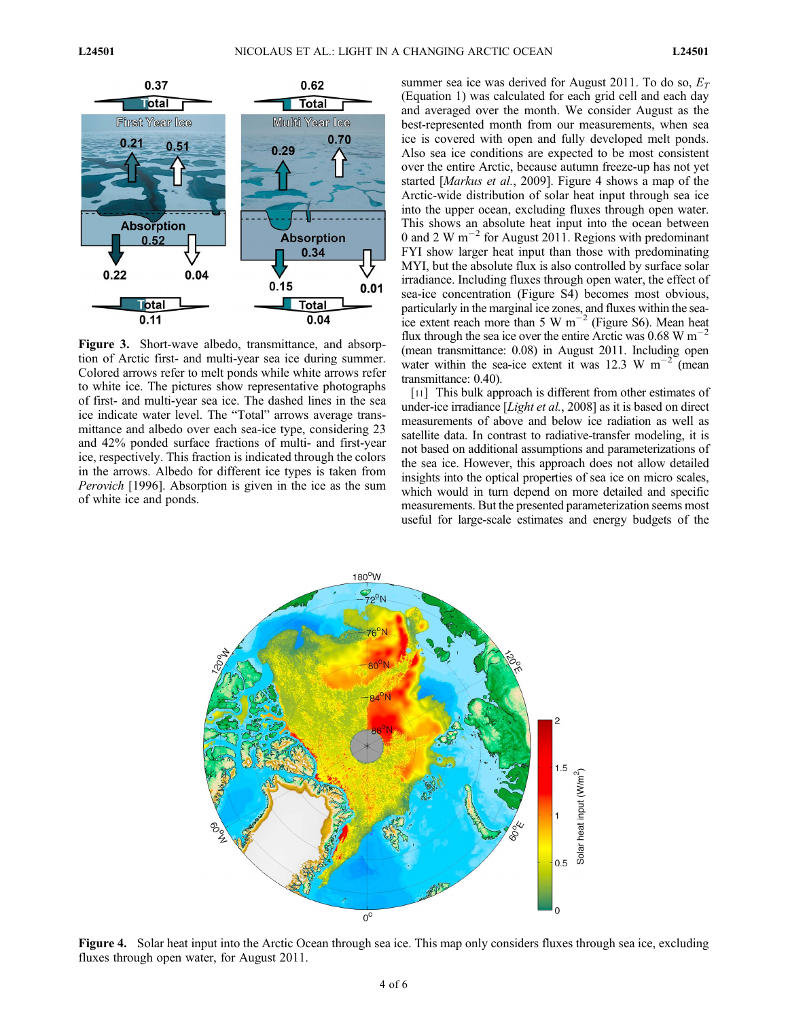

Figure 3. Short-wave albedo, transmittance, and absorption of Arctic first- and multi-year sea ice during summer. Colored arrows refer to melt ponds while white arrows refer to white ice. The pictures show representative photographs of first- and multi-year sea ice. The dashed lines in the sea ice indicate water level. The "Total" arrows average transmittance and albedo over each sea-ice type, considering 23 and 42% ponded surface fractions of multi- and first-year ice, respectively. This fraction is indicated through the colors in the arrows. Albedo for different ice types is taken from Perovich [1996]. Absorption is given in the ice as the sum of white ice and ponds.

summer sea ice was derived for August 2011. To do so,  $E_T$ (Equation 1) was calculated for each grid cell and each day and averaged over the month. We consider August as the best-represented month from our measurements, when sea ice is covered with open and fully developed melt ponds. Also sea ice conditions are expected to be most consistent over the entire Arctic, because autumn freeze-up has not yet started [Markus et al., 2009]. Figure 4 shows a map of the Arctic-wide distribution of solar heat input through sea ice into the upper ocean, excluding fluxes through open water. This shows an absolute heat input into the ocean between 0 and 2 W  $\text{m}^{-2}$  for August 2011. Regions with predominant FYI show larger heat input than those with predominating MYI, but the absolute flux is also controlled by surface solar irradiance. Including fluxes through open water, the effect of sea-ice concentration (Figure S4) becomes most obvious, particularly in the marginal ice zones, and fluxes within the seaice extent reach more than 5 W  $m^{-2}$  (Figure S6). Mean heat flux through the sea ice over the entire Arctic was  $0.68 \text{ W m}^{-2}$ (mean transmittance: 0.08) in August 2011. Including open water within the sea-ice extent it was 12.3 W  $m^{-2}$  (mean transmittance: 0.40).

[11] This bulk approach is different from other estimates of under-ice irradiance [*Light et al.*, 2008] as it is based on direct measurements of above and below ice radiation as well as satellite data. In contrast to radiative-transfer modeling, it is not based on additional assumptions and parameterizations of the sea ice. However, this approach does not allow detailed insights into the optical properties of sea ice on micro scales, which would in turn depend on more detailed and specific measurements. But the presented parameterization seems most useful for large-scale estimates and energy budgets of the



Figure 4. Solar heat input into the Arctic Ocean through sea ice. This map only considers fluxes through sea ice, excluding fluxes through open water, for August 2011.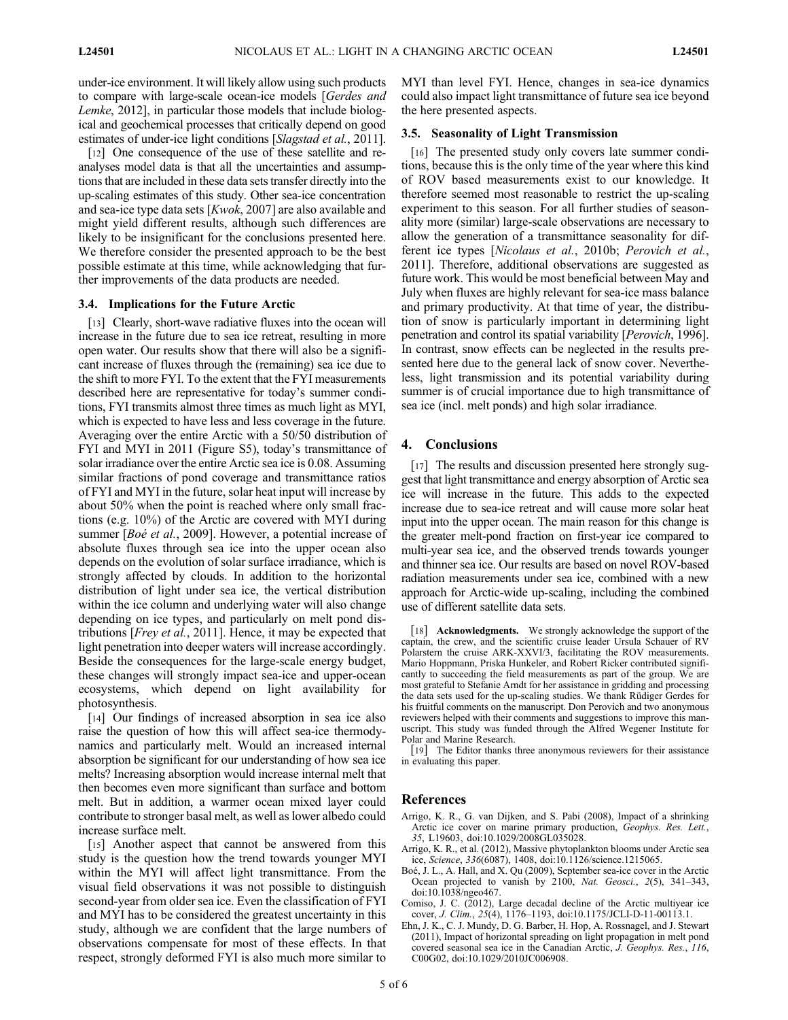under-ice environment. It will likely allow using such products to compare with large-scale ocean-ice models [Gerdes and Lemke, 2012], in particular those models that include biological and geochemical processes that critically depend on good estimates of under-ice light conditions [Slagstad et al., 2011].

[12] One consequence of the use of these satellite and reanalyses model data is that all the uncertainties and assumptions that are included in these data sets transfer directly into the up-scaling estimates of this study. Other sea-ice concentration and sea-ice type data sets [Kwok, 2007] are also available and might yield different results, although such differences are likely to be insignificant for the conclusions presented here. We therefore consider the presented approach to be the best possible estimate at this time, while acknowledging that further improvements of the data products are needed.

#### 3.4. Implications for the Future Arctic

[13] Clearly, short-wave radiative fluxes into the ocean will increase in the future due to sea ice retreat, resulting in more open water. Our results show that there will also be a significant increase of fluxes through the (remaining) sea ice due to the shift to more FYI. To the extent that the FYI measurements described here are representative for today's summer conditions, FYI transmits almost three times as much light as MYI, which is expected to have less and less coverage in the future. Averaging over the entire Arctic with a 50/50 distribution of FYI and MYI in 2011 (Figure S5), today's transmittance of solar irradiance over the entire Arctic sea ice is 0.08. Assuming similar fractions of pond coverage and transmittance ratios of FYI and MYI in the future, solar heat input will increase by about 50% when the point is reached where only small fractions (e.g. 10%) of the Arctic are covered with MYI during summer [*Boé et al.*, 2009]. However, a potential increase of absolute fluxes through sea ice into the upper ocean also depends on the evolution of solar surface irradiance, which is strongly affected by clouds. In addition to the horizontal distribution of light under sea ice, the vertical distribution within the ice column and underlying water will also change depending on ice types, and particularly on melt pond distributions [Frey et al., 2011]. Hence, it may be expected that light penetration into deeper waters will increase accordingly. Beside the consequences for the large-scale energy budget, these changes will strongly impact sea-ice and upper-ocean ecosystems, which depend on light availability for photosynthesis.

[14] Our findings of increased absorption in sea ice also raise the question of how this will affect sea-ice thermodynamics and particularly melt. Would an increased internal absorption be significant for our understanding of how sea ice melts? Increasing absorption would increase internal melt that then becomes even more significant than surface and bottom melt. But in addition, a warmer ocean mixed layer could contribute to stronger basal melt, as well as lower albedo could increase surface melt.

[15] Another aspect that cannot be answered from this study is the question how the trend towards younger MYI within the MYI will affect light transmittance. From the visual field observations it was not possible to distinguish second-year from older sea ice. Even the classification of FYI and MYI has to be considered the greatest uncertainty in this study, although we are confident that the large numbers of observations compensate for most of these effects. In that respect, strongly deformed FYI is also much more similar to

MYI than level FYI. Hence, changes in sea-ice dynamics could also impact light transmittance of future sea ice beyond the here presented aspects.

#### 3.5. Seasonality of Light Transmission

[16] The presented study only covers late summer conditions, because this is the only time of the year where this kind of ROV based measurements exist to our knowledge. It therefore seemed most reasonable to restrict the up-scaling experiment to this season. For all further studies of seasonality more (similar) large-scale observations are necessary to allow the generation of a transmittance seasonality for different ice types [Nicolaus et al., 2010b; Perovich et al., 2011]. Therefore, additional observations are suggested as future work. This would be most beneficial between May and July when fluxes are highly relevant for sea-ice mass balance and primary productivity. At that time of year, the distribution of snow is particularly important in determining light penetration and control its spatial variability [Perovich, 1996]. In contrast, snow effects can be neglected in the results presented here due to the general lack of snow cover. Nevertheless, light transmission and its potential variability during summer is of crucial importance due to high transmittance of sea ice (incl. melt ponds) and high solar irradiance.

## 4. Conclusions

[17] The results and discussion presented here strongly suggest that light transmittance and energy absorption of Arctic sea ice will increase in the future. This adds to the expected increase due to sea-ice retreat and will cause more solar heat input into the upper ocean. The main reason for this change is the greater melt-pond fraction on first-year ice compared to multi-year sea ice, and the observed trends towards younger and thinner sea ice. Our results are based on novel ROV-based radiation measurements under sea ice, combined with a new approach for Arctic-wide up-scaling, including the combined use of different satellite data sets.

[18] Acknowledgments. We strongly acknowledge the support of the captain, the crew, and the scientific cruise leader Ursula Schauer of RV Polarstern the cruise ARK-XXVI/3, facilitating the ROV measurements. Mario Hoppmann, Priska Hunkeler, and Robert Ricker contributed significantly to succeeding the field measurements as part of the group. We are most grateful to Stefanie Arndt for her assistance in gridding and processing the data sets used for the up-scaling studies. We thank Rüdiger Gerdes for his fruitful comments on the manuscript. Don Perovich and two anonymous reviewers helped with their comments and suggestions to improve this manuscript. This study was funded through the Alfred Wegener Institute for Polar and Marine Research.

[19] The Editor thanks three anonymous reviewers for their assistance in evaluating this paper.

## References

- Arrigo, K. R., G. van Dijken, and S. Pabi (2008), Impact of a shrinking Arctic ice cover on marine primary production, Geophys. Res. Lett., 35, L19603, doi:10.1029/2008GL035028.
- Arrigo, K. R., et al. (2012), Massive phytoplankton blooms under Arctic sea ice, Science, 336(6087), 1408, doi:10.1126/science.1215065.
- Boé, J. L., A. Hall, and X. Qu (2009), September sea-ice cover in the Arctic Ocean projected to vanish by 2100, Nat. Geosci., 2(5), 341-343, doi:10.1038/ngeo467.
- Comiso, J. C. (2012), Large decadal decline of the Arctic multiyear ice cover, J. Clim., 25(4), 1176–1193, doi:10.1175/JCLI-D-11-00113.1.
- Ehn, J. K., C. J. Mundy, D. G. Barber, H. Hop, A. Rossnagel, and J. Stewart (2011), Impact of horizontal spreading on light propagation in melt pond covered seasonal sea ice in the Canadian Arctic, J. Geophys. Res., 116, C00G02, doi:10.1029/2010JC006908.